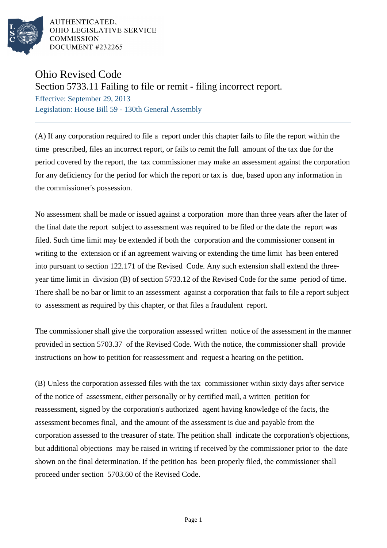

AUTHENTICATED. OHIO LEGISLATIVE SERVICE **COMMISSION** DOCUMENT #232265

## Ohio Revised Code

Section 5733.11 Failing to file or remit - filing incorrect report.

Effective: September 29, 2013 Legislation: House Bill 59 - 130th General Assembly

(A) If any corporation required to file a report under this chapter fails to file the report within the time prescribed, files an incorrect report, or fails to remit the full amount of the tax due for the period covered by the report, the tax commissioner may make an assessment against the corporation for any deficiency for the period for which the report or tax is due, based upon any information in the commissioner's possession.

No assessment shall be made or issued against a corporation more than three years after the later of the final date the report subject to assessment was required to be filed or the date the report was filed. Such time limit may be extended if both the corporation and the commissioner consent in writing to the extension or if an agreement waiving or extending the time limit has been entered into pursuant to section 122.171 of the Revised Code. Any such extension shall extend the threeyear time limit in division (B) of section 5733.12 of the Revised Code for the same period of time. There shall be no bar or limit to an assessment against a corporation that fails to file a report subject to assessment as required by this chapter, or that files a fraudulent report.

The commissioner shall give the corporation assessed written notice of the assessment in the manner provided in section 5703.37 of the Revised Code. With the notice, the commissioner shall provide instructions on how to petition for reassessment and request a hearing on the petition.

(B) Unless the corporation assessed files with the tax commissioner within sixty days after service of the notice of assessment, either personally or by certified mail, a written petition for reassessment, signed by the corporation's authorized agent having knowledge of the facts, the assessment becomes final, and the amount of the assessment is due and payable from the corporation assessed to the treasurer of state. The petition shall indicate the corporation's objections, but additional objections may be raised in writing if received by the commissioner prior to the date shown on the final determination. If the petition has been properly filed, the commissioner shall proceed under section 5703.60 of the Revised Code.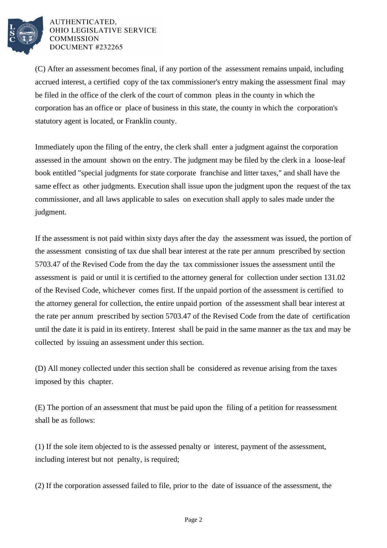

AUTHENTICATED. OHIO LEGISLATIVE SERVICE **COMMISSION** DOCUMENT #232265

(C) After an assessment becomes final, if any portion of the assessment remains unpaid, including accrued interest, a certified copy of the tax commissioner's entry making the assessment final may be filed in the office of the clerk of the court of common pleas in the county in which the corporation has an office or place of business in this state, the county in which the corporation's statutory agent is located, or Franklin county.

Immediately upon the filing of the entry, the clerk shall enter a judgment against the corporation assessed in the amount shown on the entry. The judgment may be filed by the clerk in a loose-leaf book entitled "special judgments for state corporate franchise and litter taxes," and shall have the same effect as other judgments. Execution shall issue upon the judgment upon the request of the tax commissioner, and all laws applicable to sales on execution shall apply to sales made under the judgment.

If the assessment is not paid within sixty days after the day the assessment was issued, the portion of the assessment consisting of tax due shall bear interest at the rate per annum prescribed by section 5703.47 of the Revised Code from the day the tax commissioner issues the assessment until the assessment is paid or until it is certified to the attorney general for collection under section 131.02 of the Revised Code, whichever comes first. If the unpaid portion of the assessment is certified to the attorney general for collection, the entire unpaid portion of the assessment shall bear interest at the rate per annum prescribed by section 5703.47 of the Revised Code from the date of certification until the date it is paid in its entirety. Interest shall be paid in the same manner as the tax and may be collected by issuing an assessment under this section.

(D) All money collected under this section shall be considered as revenue arising from the taxes imposed by this chapter.

(E) The portion of an assessment that must be paid upon the filing of a petition for reassessment shall be as follows:

(1) If the sole item objected to is the assessed penalty or interest, payment of the assessment, including interest but not penalty, is required;

(2) If the corporation assessed failed to file, prior to the date of issuance of the assessment, the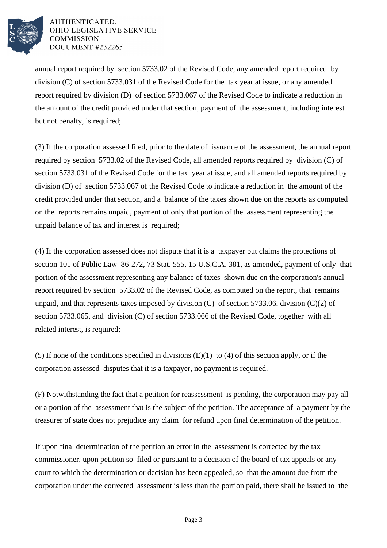

## AUTHENTICATED, OHIO LEGISLATIVE SERVICE **COMMISSION** DOCUMENT #232265

annual report required by section 5733.02 of the Revised Code, any amended report required by division (C) of section 5733.031 of the Revised Code for the tax year at issue, or any amended report required by division (D) of section 5733.067 of the Revised Code to indicate a reduction in the amount of the credit provided under that section, payment of the assessment, including interest but not penalty, is required;

(3) If the corporation assessed filed, prior to the date of issuance of the assessment, the annual report required by section 5733.02 of the Revised Code, all amended reports required by division (C) of section 5733.031 of the Revised Code for the tax year at issue, and all amended reports required by division (D) of section 5733.067 of the Revised Code to indicate a reduction in the amount of the credit provided under that section, and a balance of the taxes shown due on the reports as computed on the reports remains unpaid, payment of only that portion of the assessment representing the unpaid balance of tax and interest is required;

(4) If the corporation assessed does not dispute that it is a taxpayer but claims the protections of section 101 of Public Law 86-272, 73 Stat. 555, 15 U.S.C.A. 381, as amended, payment of only that portion of the assessment representing any balance of taxes shown due on the corporation's annual report required by section 5733.02 of the Revised Code, as computed on the report, that remains unpaid, and that represents taxes imposed by division (C) of section 5733.06, division (C)(2) of section 5733.065, and division (C) of section 5733.066 of the Revised Code, together with all related interest, is required;

(5) If none of the conditions specified in divisions  $(E)(1)$  to (4) of this section apply, or if the corporation assessed disputes that it is a taxpayer, no payment is required.

(F) Notwithstanding the fact that a petition for reassessment is pending, the corporation may pay all or a portion of the assessment that is the subject of the petition. The acceptance of a payment by the treasurer of state does not prejudice any claim for refund upon final determination of the petition.

If upon final determination of the petition an error in the assessment is corrected by the tax commissioner, upon petition so filed or pursuant to a decision of the board of tax appeals or any court to which the determination or decision has been appealed, so that the amount due from the corporation under the corrected assessment is less than the portion paid, there shall be issued to the